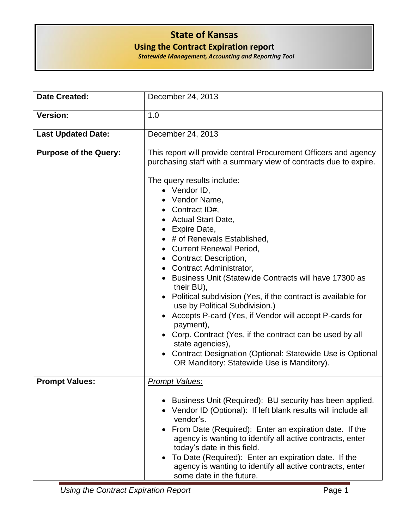## **State of Kansas**

**Using the Contract Expiration report**

| <b>Statewide Management, Accounting and Reporting Tool</b> |  |  |
|------------------------------------------------------------|--|--|
|------------------------------------------------------------|--|--|

| <b>Date Created:</b>         | December 24, 2013                                                                                                                                                                                                                                                                                                                                                                                                                                                                                                                                                                                                                                                                                                                                                                                                                                          |
|------------------------------|------------------------------------------------------------------------------------------------------------------------------------------------------------------------------------------------------------------------------------------------------------------------------------------------------------------------------------------------------------------------------------------------------------------------------------------------------------------------------------------------------------------------------------------------------------------------------------------------------------------------------------------------------------------------------------------------------------------------------------------------------------------------------------------------------------------------------------------------------------|
| <b>Version:</b>              | 1.0                                                                                                                                                                                                                                                                                                                                                                                                                                                                                                                                                                                                                                                                                                                                                                                                                                                        |
| <b>Last Updated Date:</b>    | December 24, 2013                                                                                                                                                                                                                                                                                                                                                                                                                                                                                                                                                                                                                                                                                                                                                                                                                                          |
| <b>Purpose of the Query:</b> | This report will provide central Procurement Officers and agency<br>purchasing staff with a summary view of contracts due to expire.<br>The query results include:<br>$\bullet$ Vendor ID,<br>• Vendor Name,<br>• Contract $ID#$ ,<br>• Actual Start Date,<br>• Expire Date,<br>• # of Renewals Established,<br>• Current Renewal Period,<br><b>Contract Description,</b><br>• Contract Administrator,<br>• Business Unit (Statewide Contracts will have 17300 as<br>their BU),<br>• Political subdivision (Yes, if the contract is available for<br>use by Political Subdivision.)<br>• Accepts P-card (Yes, if Vendor will accept P-cards for<br>payment),<br>• Corp. Contract (Yes, if the contract can be used by all<br>state agencies),<br>• Contract Designation (Optional: Statewide Use is Optional<br>OR Manditory: Statewide Use is Manditory). |
| <b>Prompt Values:</b>        | <b>Prompt Values:</b><br>• Business Unit (Required): BU security has been applied.<br>• Vendor ID (Optional): If left blank results will include all                                                                                                                                                                                                                                                                                                                                                                                                                                                                                                                                                                                                                                                                                                       |
|                              | vendor's.<br>From Date (Required): Enter an expiration date. If the<br>agency is wanting to identify all active contracts, enter<br>today's date in this field.<br>To Date (Required): Enter an expiration date. If the<br>agency is wanting to identify all active contracts, enter<br>some date in the future.                                                                                                                                                                                                                                                                                                                                                                                                                                                                                                                                           |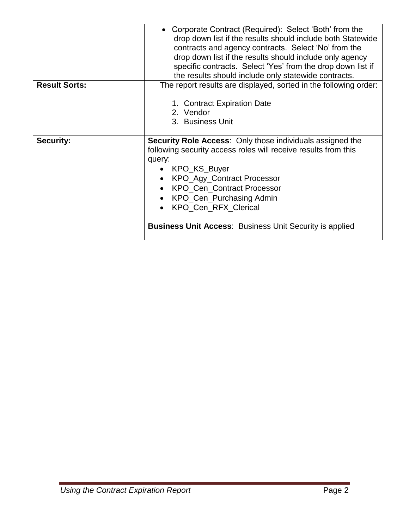|                      | Corporate Contract (Required): Select 'Both' from the<br>drop down list if the results should include both Statewide<br>contracts and agency contracts. Select 'No' from the<br>drop down list if the results should include only agency<br>specific contracts. Select 'Yes' from the drop down list if<br>the results should include only statewide contracts.                    |  |  |  |  |  |  |
|----------------------|------------------------------------------------------------------------------------------------------------------------------------------------------------------------------------------------------------------------------------------------------------------------------------------------------------------------------------------------------------------------------------|--|--|--|--|--|--|
| <b>Result Sorts:</b> | The report results are displayed, sorted in the following order:                                                                                                                                                                                                                                                                                                                   |  |  |  |  |  |  |
|                      | 1. Contract Expiration Date<br>2. Vendor<br>3. Business Unit                                                                                                                                                                                                                                                                                                                       |  |  |  |  |  |  |
| <b>Security:</b>     | Security Role Access: Only those individuals assigned the<br>following security access roles will receive results from this<br>query:<br>• KPO_KS_Buyer<br>• KPO_Agy_Contract Processor<br>KPO_Cen_Contract Processor<br>$\bullet$<br>KPO_Cen_Purchasing Admin<br>$\bullet$<br>KPO_Cen_RFX_Clerical<br>$\bullet$<br><b>Business Unit Access: Business Unit Security is applied</b> |  |  |  |  |  |  |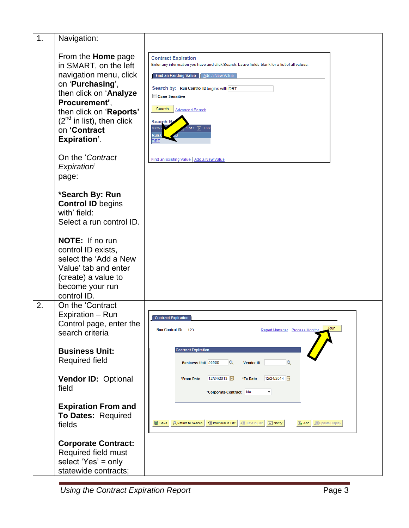| 1. | Navigation:                                                                                                                                                                                                                                                  |                                                                                                                                                                                                                                                                                                                                                                                           |
|----|--------------------------------------------------------------------------------------------------------------------------------------------------------------------------------------------------------------------------------------------------------------|-------------------------------------------------------------------------------------------------------------------------------------------------------------------------------------------------------------------------------------------------------------------------------------------------------------------------------------------------------------------------------------------|
|    | From the <b>Home</b> page<br>in SMART, on the left<br>navigation menu, click<br>on 'Purchasing',<br>then click on 'Analyze<br>Procurement',<br>then click on 'Reports'<br>$(2^{nd}$ in list), then click<br>on 'Contract<br>Expiration'.<br>On the 'Contract | <b>Contract Expiration</b><br>Enter any information you have and click Search. Leave fields blank for a list of all values.<br><b>Find an Existing Value</b><br>Add a New Value<br>Search by: Run Control ID begins with DRT<br><b>Case Sensitive</b><br>Search<br><b>Advanced Search</b><br><b>Search R</b><br>View.<br>$\boxed{\blacktriangleright}$ Last<br><u>Run (</u><br><b>DRT</b> |
|    | Expiration'<br>page:                                                                                                                                                                                                                                         | Find an Existing Value   Add a New Value                                                                                                                                                                                                                                                                                                                                                  |
|    | *Search By: Run<br><b>Control ID begins</b><br>with' field:<br>Select a run control ID.                                                                                                                                                                      |                                                                                                                                                                                                                                                                                                                                                                                           |
|    | NOTE: If no run<br>control ID exists,<br>select the 'Add a New<br>Value' tab and enter<br>(create) a value to<br>become your run<br>control ID.                                                                                                              |                                                                                                                                                                                                                                                                                                                                                                                           |
| 2. | On the 'Contract<br>Expiration - Run<br>Control page, enter the<br>search criteria                                                                                                                                                                           | <b>Contract Expiration</b><br>Run<br>Run Control ID: 123<br>Report Manager Process Monitor                                                                                                                                                                                                                                                                                                |
|    | <b>Business Unit:</b><br><b>Required field</b>                                                                                                                                                                                                               | <b>Contract Expiration</b><br>Business Unit 56500<br>$\alpha$<br>$\alpha$<br><b>Vendor ID</b>                                                                                                                                                                                                                                                                                             |
|    | Vendor ID: Optional<br>field                                                                                                                                                                                                                                 | 12/24/2014<br>12/24/2013 同<br>*From Date<br>*To Date<br>*Corporate Contract No<br>۰                                                                                                                                                                                                                                                                                                       |
|    | <b>Expiration From and</b><br>To Dates: Required<br>fields                                                                                                                                                                                                   | <b>Q Return to Search   ↑ El Previous in List   ↓ El Next in List  </b><br>F Notify<br><b>E</b> Add <b>圆 Update/Display</b><br><b>D</b> Save                                                                                                                                                                                                                                              |
|    | <b>Corporate Contract:</b><br>Required field must<br>select 'Yes' = only<br>statewide contracts;                                                                                                                                                             |                                                                                                                                                                                                                                                                                                                                                                                           |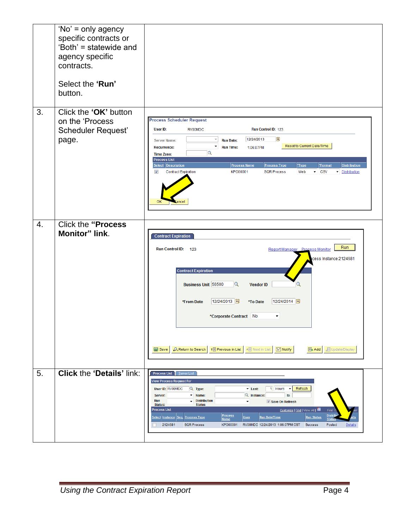|    | 'No' = only agency<br>specific contracts or<br>'Both' = statewide and<br>agency specific<br>contracts.<br>Select the 'Run'<br>button. |                                                                                                                                                                                                                                                                                                                                                                                                                                                                                                                                                                                                                                                                                                  |
|----|---------------------------------------------------------------------------------------------------------------------------------------|--------------------------------------------------------------------------------------------------------------------------------------------------------------------------------------------------------------------------------------------------------------------------------------------------------------------------------------------------------------------------------------------------------------------------------------------------------------------------------------------------------------------------------------------------------------------------------------------------------------------------------------------------------------------------------------------------|
| 3. | Click the 'OK' button<br>on the 'Process<br>Scheduler Request'<br>page.                                                               | <b>Process Scheduler Request</b><br>User ID:<br><b>RV00MDC</b><br>Run Control ID: 123<br>B<br>12/24/2013<br>$\overline{\mathbf{v}}$<br><b>Run Date:</b><br><b>Server Name:</b><br>Reset to Current Date/Time<br>$\blacktriangledown$<br><b>Run Time:</b><br><b>Recurrence:</b><br>1:06:07PM<br>Q<br><b>Time Zone:</b><br><b>Process List</b><br>Select Description<br><b>Process Name</b><br>*Type<br>*Format<br><b>Distribution</b><br><b>Process Type</b><br><b>Contract Expiration</b><br>$\blacktriangleright$ CSV<br>$\overline{\mathcal{A}}$<br><b>KPO00001</b><br><b>SQR Process</b><br>Web<br>Distribution<br>OK                                                                         |
| 4. | <b>Click the "Process</b><br><b>Monitor" link.</b>                                                                                    | <b>Contract Expiration</b><br>Run<br>Run Control ID: 123<br>Report Manager Process Monitor<br>cess Instance:2124681<br><b>Contract Expiration</b><br>Business Unit 56500<br>$\mathbf{Q}$<br><b>Vendor ID</b><br>12/24/2013<br>12/24/2014<br>*From Date<br>*To Date<br>*Corporate Contract No<br>۰<br>↑ Previous in List<br>↓■ Next in List<br>F Notify<br><b>週Update/Display</b><br><b>D</b> Save<br>Return to Search<br>$E$ Add                                                                                                                                                                                                                                                                 |
| 5. | <b>Click the 'Details' link:</b>                                                                                                      | Process List   Server List<br><b>View Process Request For</b><br>Refresh<br><b>User ID: RV00MDC</b><br>Q Type:<br>1 Hours -<br><b>v</b> Last:<br>Q Instance:<br>to<br>$\blacktriangleright$ Name:<br>Server:<br>Run<br>Distribution<br>$\blacktriangledown$<br>Save On Refresh<br><b>Status:</b><br><b>Status</b><br><b>Process List</b><br>Customize   Find   View All   1<br>First<br><b>Distrit</b><br><b>Process</b><br><u> Select Instance Seq. Process Type</u><br><b>User</b><br><b>Run Date/Time</b><br><b>Run Status</b><br><b>Status</b><br><b>Name</b><br>2124681<br><b>SQR Process</b><br>KPO00001<br>RV00MDC 12/24/2013 1:06:07PM CST<br><b>Success</b><br>Posted<br><b>Details</b> |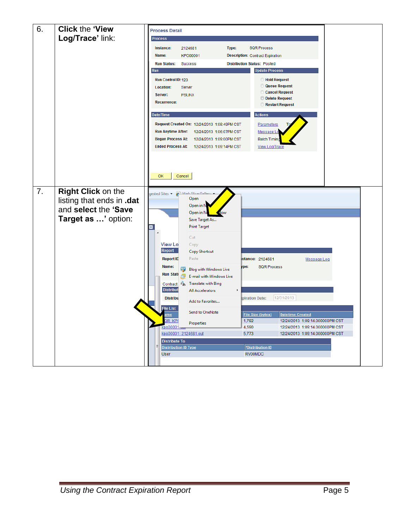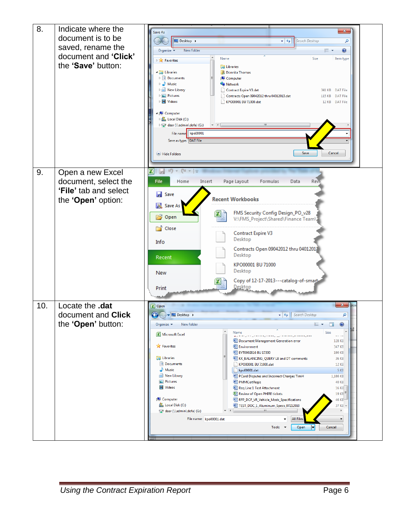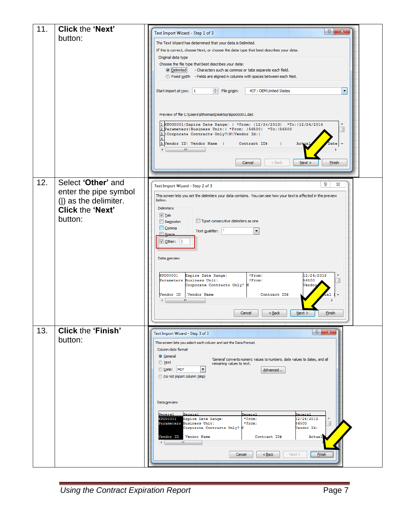| 11. | <b>Click the 'Next'</b>   | 8<br>$\mathbf{x}$                                                                                                                     |
|-----|---------------------------|---------------------------------------------------------------------------------------------------------------------------------------|
|     | button:                   | Text Import Wizard - Step 1 of 3                                                                                                      |
|     |                           | The Text Wizard has determined that your data is Delimited.                                                                           |
|     |                           | If this is correct, choose Next, or choose the data type that best describes your data.                                               |
|     |                           | Original data type<br>Choose the file type that best describes your data:                                                             |
|     |                           | - Characters such as commas or tabs separate each field.<br><b>O</b> Delimited                                                        |
|     |                           | Fixed width - Fields are aligned in columns with spaces between each field.                                                           |
|     |                           |                                                                                                                                       |
|     |                           | Start import at row:   1<br>File origin:<br>437 : OEM United States<br>$\overline{\phantom{a}}$                                       |
|     |                           |                                                                                                                                       |
|     |                           |                                                                                                                                       |
|     |                           | Preview of file C: \Users\dthomas\Desktop\kpo00001.dat.                                                                               |
|     |                           | 1 KP000001 Expire Date Range:   *From:  12/24/2013  *To:  12/24/2014<br>2 Parameters   Business Unit:   *From:   56500   *To:   56500 |
|     |                           | Corporate Contracts Only?   N   Vendor Id:                                                                                            |
|     |                           | 5 Vendor ID  Vendor Name  <br>Contract ID#<br>Actu                                                                                    |
|     |                           | m.                                                                                                                                    |
|     |                           | Cancel<br>$<$ Back<br><b>Finish</b>                                                                                                   |
|     |                           | Next                                                                                                                                  |
|     |                           |                                                                                                                                       |
| 12. | Select 'Other' and        | P<br>23<br>Text Import Wizard - Step 2 of 3                                                                                           |
|     | enter the pipe symbol     | This screen lets you set the delimiters your data contains. You can see how your text is affected in the preview                      |
|     | ( ) as the delimiter.     | below.                                                                                                                                |
|     | <b>Click the 'Next'</b>   | <b>Delimiters</b>                                                                                                                     |
|     | button:                   | $V$ Tab                                                                                                                               |
|     |                           | Treat consecutive delimiters as one<br>Semicolon<br>Comma                                                                             |
|     |                           | $\blacktriangledown$<br>Text gualifier:<br>Space.                                                                                     |
|     |                           | $\vee$ Other:                                                                                                                         |
|     |                           |                                                                                                                                       |
|     |                           | Data preview                                                                                                                          |
|     |                           |                                                                                                                                       |
|     |                           | KP000001<br>*From:<br>12/24/2013<br>Expire Date Range:                                                                                |
|     |                           | Parameters Business Unit:<br>*From:<br>56500<br>Corporate Contracts Only? N<br>Vendo                                                  |
|     |                           | Vendor Name<br>Contract ID#<br>Vendor ID                                                                                              |
|     |                           | m.                                                                                                                                    |
|     |                           |                                                                                                                                       |
|     |                           | Cancel<br>$<$ Back<br>$N$ ext ><br><b>Finish</b>                                                                                      |
|     |                           |                                                                                                                                       |
| 13. | <b>Click the 'Finish'</b> | $\theta$<br>$-\mathbf{x}$<br>Text Import Wizard - Step 3 of 3                                                                         |
|     | button:                   | This screen lets you select each column and set the Data Format.                                                                      |
|     |                           | Column data format                                                                                                                    |
|     |                           | <b>O</b> General<br>'General' converts numeric values to numbers, date values to dates, and all                                       |
|     |                           | ◯ Text<br>remaining values to text.<br>Date: MDY                                                                                      |
|     |                           | E<br>Advanced<br><b>Do not import column (skip)</b>                                                                                   |
|     |                           |                                                                                                                                       |
|     |                           |                                                                                                                                       |
|     |                           |                                                                                                                                       |
|     |                           | Data preview                                                                                                                          |
|     |                           | <b>General</b><br><b>General</b><br>General<br>General                                                                                |
|     |                           | KP000001<br>Expire Date Range:<br>$*$ From:<br>12/24/2013<br>Parameters Business Unit:<br>$*$ From:<br>56500                          |
|     |                           | Corporate Contracts Only?<br>Tendor Id:<br>N                                                                                          |
|     |                           | Vendor ID<br>Vendor Name<br>Contract ID#<br>Actual                                                                                    |
|     |                           | m                                                                                                                                     |
|     |                           | Cancel<br>Next<br>Einish<br>$Back$                                                                                                    |
|     |                           |                                                                                                                                       |